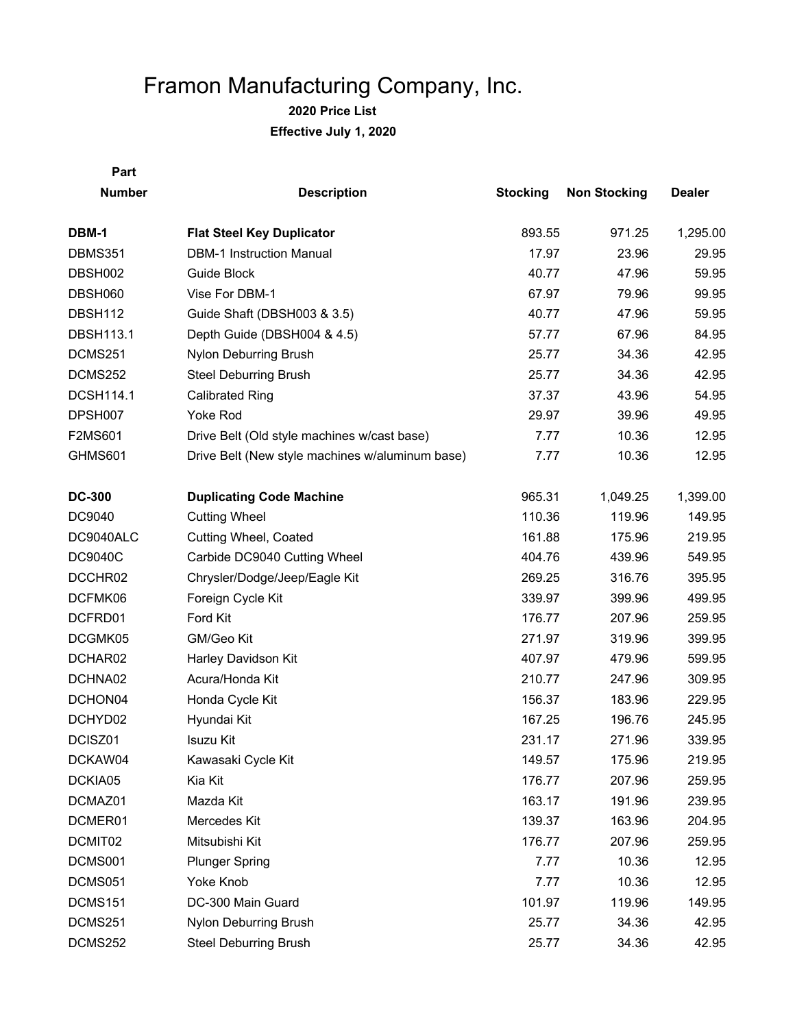| Part             |                                                 |                 |                     |               |
|------------------|-------------------------------------------------|-----------------|---------------------|---------------|
| <b>Number</b>    | <b>Description</b>                              | <b>Stocking</b> | <b>Non Stocking</b> | <b>Dealer</b> |
| DBM-1            | <b>Flat Steel Key Duplicator</b>                | 893.55          | 971.25              | 1,295.00      |
| <b>DBMS351</b>   | <b>DBM-1 Instruction Manual</b>                 | 17.97           | 23.96               | 29.95         |
| DBSH002          | Guide Block                                     | 40.77           | 47.96               | 59.95         |
| DBSH060          | Vise For DBM-1                                  | 67.97           | 79.96               | 99.95         |
| DBSH112          | Guide Shaft (DBSH003 & 3.5)                     | 40.77           | 47.96               | 59.95         |
| <b>DBSH113.1</b> | Depth Guide (DBSH004 & 4.5)                     | 57.77           | 67.96               | 84.95         |
| DCMS251          | Nylon Deburring Brush                           | 25.77           | 34.36               | 42.95         |
| DCMS252          | <b>Steel Deburring Brush</b>                    | 25.77           | 34.36               | 42.95         |
| <b>DCSH114.1</b> | <b>Calibrated Ring</b>                          | 37.37           | 43.96               | 54.95         |
| DPSH007          | <b>Yoke Rod</b>                                 | 29.97           | 39.96               | 49.95         |
| F2MS601          | Drive Belt (Old style machines w/cast base)     | 7.77            | 10.36               | 12.95         |
| GHMS601          | Drive Belt (New style machines w/aluminum base) | 7.77            | 10.36               | 12.95         |
| <b>DC-300</b>    | <b>Duplicating Code Machine</b>                 | 965.31          | 1,049.25            | 1,399.00      |
| DC9040           | <b>Cutting Wheel</b>                            | 110.36          | 119.96              | 149.95        |
| DC9040ALC        | Cutting Wheel, Coated                           | 161.88          | 175.96              | 219.95        |
| DC9040C          | Carbide DC9040 Cutting Wheel                    | 404.76          | 439.96              | 549.95        |
| DCCHR02          | Chrysler/Dodge/Jeep/Eagle Kit                   | 269.25          | 316.76              | 395.95        |
| DCFMK06          | Foreign Cycle Kit                               | 339.97          | 399.96              | 499.95        |
| DCFRD01          | Ford Kit                                        | 176.77          | 207.96              | 259.95        |
| DCGMK05          | GM/Geo Kit                                      | 271.97          | 319.96              | 399.95        |
| DCHAR02          | Harley Davidson Kit                             | 407.97          | 479.96              | 599.95        |
| DCHNA02          | Acura/Honda Kit                                 | 210.77          | 247.96              | 309.95        |
| DCHON04          | Honda Cycle Kit                                 | 156.37          | 183.96              | 229.95        |
| DCHYD02          | Hyundai Kit                                     | 167.25          | 196.76              | 245.95        |
| DCISZ01          | <b>Isuzu Kit</b>                                | 231.17          | 271.96              | 339.95        |
| DCKAW04          | Kawasaki Cycle Kit                              | 149.57          | 175.96              | 219.95        |
| DCKIA05          | Kia Kit                                         | 176.77          | 207.96              | 259.95        |
| DCMAZ01          | Mazda Kit                                       | 163.17          | 191.96              | 239.95        |
| DCMER01          | Mercedes Kit                                    | 139.37          | 163.96              | 204.95        |
| DCMIT02          | Mitsubishi Kit                                  | 176.77          | 207.96              | 259.95        |
| DCMS001          | <b>Plunger Spring</b>                           | 7.77            | 10.36               | 12.95         |
| DCMS051          | Yoke Knob                                       | 7.77            | 10.36               | 12.95         |
| DCMS151          | DC-300 Main Guard                               | 101.97          | 119.96              | 149.95        |
| DCMS251          | Nylon Deburring Brush                           | 25.77           | 34.36               | 42.95         |
| DCMS252          | <b>Steel Deburring Brush</b>                    | 25.77           | 34.36               | 42.95         |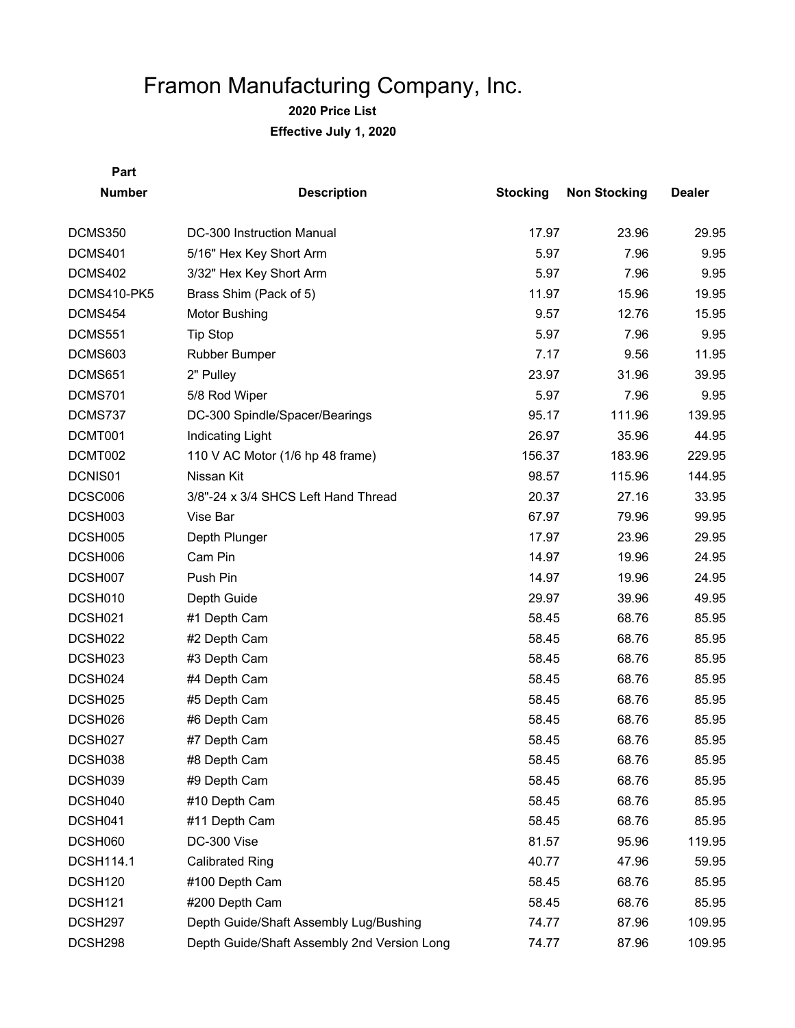| Part             |                                                |                 |                     |               |
|------------------|------------------------------------------------|-----------------|---------------------|---------------|
| <b>Number</b>    | <b>Description</b>                             | <b>Stocking</b> | <b>Non Stocking</b> | <b>Dealer</b> |
| DCMS350          | DC-300 Instruction Manual                      | 17.97           | 23.96               | 29.95         |
| DCMS401          | 5/16" Hex Key Short Arm                        | 5.97            | 7.96                | 9.95          |
| DCMS402          | 3/32" Hex Key Short Arm                        | 5.97            | 7.96                | 9.95          |
| DCMS410-PK5      |                                                | 11.97           | 15.96               | 19.95         |
| DCMS454          | Brass Shim (Pack of 5)<br><b>Motor Bushing</b> | 9.57            | 12.76               | 15.95         |
|                  |                                                | 5.97            | 7.96                |               |
| <b>DCMS551</b>   | <b>Tip Stop</b>                                |                 |                     | 9.95          |
| DCMS603          | Rubber Bumper                                  | 7.17            | 9.56                | 11.95         |
| DCMS651          | 2" Pulley                                      | 23.97           | 31.96               | 39.95         |
| DCMS701          | 5/8 Rod Wiper                                  | 5.97            | 7.96                | 9.95          |
| DCMS737          | DC-300 Spindle/Spacer/Bearings                 | 95.17           | 111.96              | 139.95        |
| DCMT001          | Indicating Light                               | 26.97           | 35.96               | 44.95         |
| DCMT002          | 110 V AC Motor (1/6 hp 48 frame)               | 156.37          | 183.96              | 229.95        |
| DCNIS01          | Nissan Kit                                     | 98.57           | 115.96              | 144.95        |
| DCSC006          | 3/8"-24 x 3/4 SHCS Left Hand Thread            | 20.37           | 27.16               | 33.95         |
| DCSH003          | Vise Bar                                       | 67.97           | 79.96               | 99.95         |
| DCSH005          | Depth Plunger                                  | 17.97           | 23.96               | 29.95         |
| DCSH006          | Cam Pin                                        | 14.97           | 19.96               | 24.95         |
| DCSH007          | Push Pin                                       | 14.97           | 19.96               | 24.95         |
| DCSH010          | Depth Guide                                    | 29.97           | 39.96               | 49.95         |
| DCSH021          | #1 Depth Cam                                   | 58.45           | 68.76               | 85.95         |
| DCSH022          | #2 Depth Cam                                   | 58.45           | 68.76               | 85.95         |
| DCSH023          | #3 Depth Cam                                   | 58.45           | 68.76               | 85.95         |
| DCSH024          | #4 Depth Cam                                   | 58.45           | 68.76               | 85.95         |
| DCSH025          | #5 Depth Cam                                   | 58.45           | 68.76               | 85.95         |
| DCSH026          | #6 Depth Cam                                   | 58.45           | 68.76               | 85.95         |
| DCSH027          | #7 Depth Cam                                   | 58.45           | 68.76               | 85.95         |
| DCSH038          | #8 Depth Cam                                   | 58.45           | 68.76               | 85.95         |
| DCSH039          | #9 Depth Cam                                   | 58.45           | 68.76               | 85.95         |
| DCSH040          | #10 Depth Cam                                  | 58.45           | 68.76               | 85.95         |
| DCSH041          | #11 Depth Cam                                  | 58.45           | 68.76               | 85.95         |
| DCSH060          | DC-300 Vise                                    | 81.57           | 95.96               | 119.95        |
| <b>DCSH114.1</b> | <b>Calibrated Ring</b>                         | 40.77           | 47.96               | 59.95         |
| DCSH120          | #100 Depth Cam                                 | 58.45           | 68.76               | 85.95         |
| DCSH121          | #200 Depth Cam                                 | 58.45           | 68.76               | 85.95         |
| DCSH297          | Depth Guide/Shaft Assembly Lug/Bushing         | 74.77           | 87.96               | 109.95        |
| DCSH298          | Depth Guide/Shaft Assembly 2nd Version Long    | 74.77           | 87.96               | 109.95        |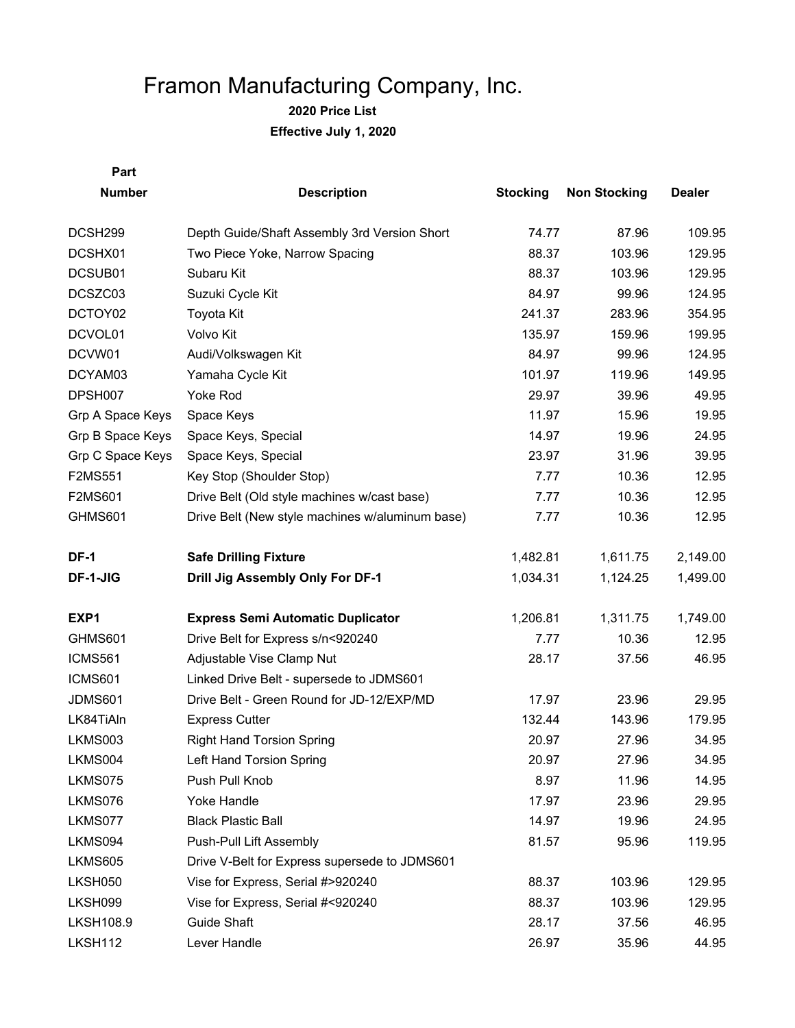**2020 Price List Effective July 1, 2020**

**Part Number Description Stocking Non Stocking Dealer** DCSH299 Depth Guide/Shaft Assembly 3rd Version Short 74.77 87.96 109.95 DCSHX01 Two Piece Yoke, Narrow Spacing The Contract Research 129.95 129.95 DCSUB01 Subaru Kit 88.37 103.96 129.95 DCSZC03 Suzuki Cycle Kit 84.97 89.96 124.95 DCTOY02 Toyota Kit 241.37 283.96 354.95 DCVOL01 Volvo Kit 135.97 159.96 199.95 DCVW01 Audi/Volkswagen Kit 64.97 84.97 84.97 84.95 84.97 84.95 84.97 89.96 124.95 DCYAM03 Yamaha Cycle Kit 101.97 119.96 149.95 DPSH007 Yoke Rod 29.97 39.96 49.95 Grp A Space Keys Space Keys 3. The Space Seys 11.97 15.96 19.95 Grp B Space Keys Space Keys, Special 14.97 19.96 24.95 Grp C Space Keys Space Keys, Special 23.97 31.96 39.95 F2MS551 Key Stop (Shoulder Stop) 7.77 10.36 12.95 F2MS601 Drive Belt (Old style machines w/cast base) 7.77 10.36 12.95 GHMS601 Drive Belt (New style machines w/aluminum base) 7.77 10.36 12.95 **DF-1 Safe Drilling Fixture 1,482.81** 1,611.75 2,149.00 **DF-1-JIG Drill Jig Assembly Only For DF-1** 1,034.31 1,124.25 1,499.00 **EXP1 Express Semi Automatic Duplicator 1,206.81** 1,311.75 1,749.00 GHMS601 Drive Belt for Express s/n<920240 7.77 10.36 12.95 ICMS561 Adjustable Vise Clamp Nut 28.17 37.56 46.95 ICMS601 Linked Drive Belt - supersede to JDMS601 JDMS601 Drive Belt - Green Round for JD-12/EXP/MD 17.97 23.96 29.95 LK84TiAln Express Cutter 132.44 143.96 179.95 LKMS003 Right Hand Torsion Spring 20.97 20.97 27.96 34.95 LKMS004 Left Hand Torsion Spring 20 20.97 27.96 34.95 LKMS075 Push Pull Knob 8.97 11.96 14.95 LKMS076 Yoke Handle 17.97 23.96 29.95 LKMS077 Black Plastic Ball 14.97 19.96 24.95 LKMS094 Push-Pull Lift Assembly 81.57 95.96 119.95 LKMS605 Drive V-Belt for Express supersede to JDMS601 LKSH050 Vise for Express, Serial #>920240 88.37 103.96 129.95 LKSH099 Vise for Express, Serial #<920240 88.37 103.96 129.95 LKSH108.9 Guide Shaft 28.17 37.56 46.95 LKSH112 Lever Handle 26.97 35.96 44.95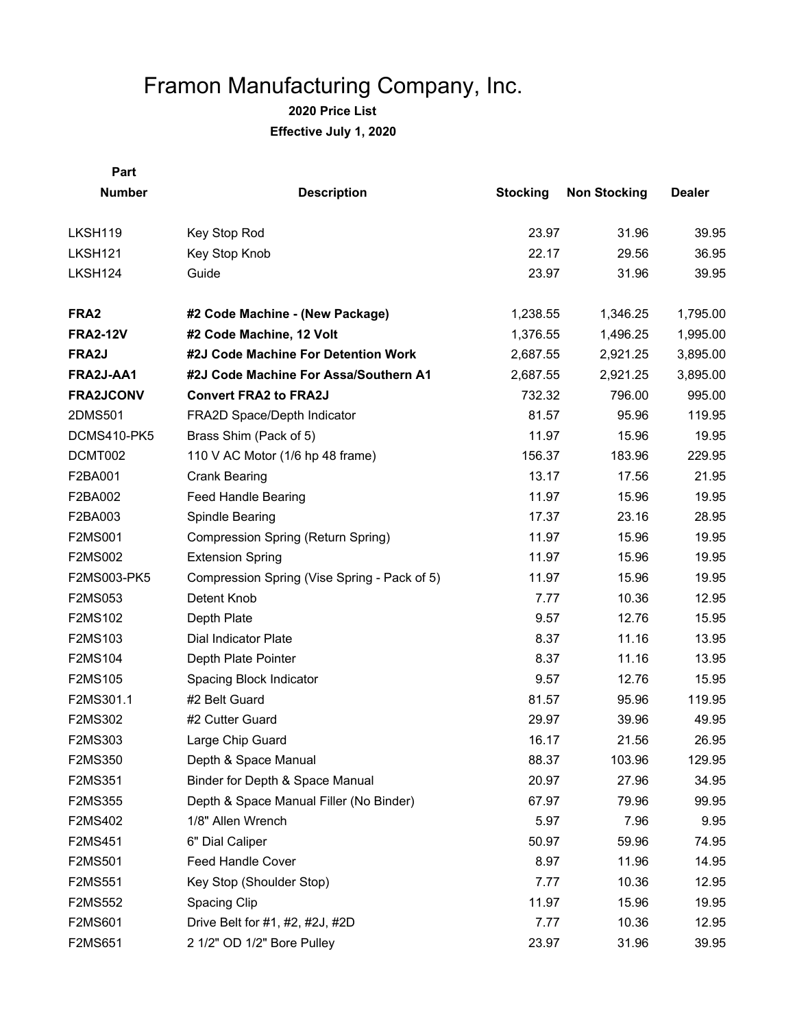| Part             |                                              |                 |                     |               |
|------------------|----------------------------------------------|-----------------|---------------------|---------------|
| <b>Number</b>    | <b>Description</b>                           | <b>Stocking</b> | <b>Non Stocking</b> | <b>Dealer</b> |
|                  |                                              |                 |                     |               |
| LKSH119          | Key Stop Rod                                 | 23.97           | 31.96               | 39.95         |
| LKSH121          | Key Stop Knob                                | 22.17           | 29.56               | 36.95         |
| LKSH124          | Guide                                        | 23.97           | 31.96               | 39.95         |
| FRA <sub>2</sub> | #2 Code Machine - (New Package)              | 1,238.55        | 1,346.25            | 1,795.00      |
| <b>FRA2-12V</b>  | #2 Code Machine, 12 Volt                     | 1,376.55        | 1,496.25            | 1,995.00      |
| FRA2J            | #2J Code Machine For Detention Work          | 2,687.55        | 2,921.25            | 3,895.00      |
| FRA2J-AA1        | #2J Code Machine For Assa/Southern A1        | 2,687.55        | 2,921.25            | 3,895.00      |
| <b>FRA2JCONV</b> | <b>Convert FRA2 to FRA2J</b>                 | 732.32          | 796.00              | 995.00        |
| 2DMS501          | FRA2D Space/Depth Indicator                  | 81.57           | 95.96               | 119.95        |
| DCMS410-PK5      | Brass Shim (Pack of 5)                       | 11.97           | 15.96               | 19.95         |
| DCMT002          | 110 V AC Motor (1/6 hp 48 frame)             | 156.37          | 183.96              | 229.95        |
| F2BA001          | <b>Crank Bearing</b>                         | 13.17           | 17.56               | 21.95         |
| F2BA002          | Feed Handle Bearing                          | 11.97           | 15.96               | 19.95         |
| F2BA003          | Spindle Bearing                              | 17.37           | 23.16               | 28.95         |
| F2MS001          | Compression Spring (Return Spring)           | 11.97           | 15.96               | 19.95         |
| <b>F2MS002</b>   | <b>Extension Spring</b>                      | 11.97           | 15.96               | 19.95         |
| F2MS003-PK5      | Compression Spring (Vise Spring - Pack of 5) | 11.97           | 15.96               | 19.95         |
| F2MS053          | Detent Knob                                  | 7.77            | 10.36               | 12.95         |
| F2MS102          | Depth Plate                                  | 9.57            | 12.76               | 15.95         |
| F2MS103          | Dial Indicator Plate                         | 8.37            | 11.16               | 13.95         |
| F2MS104          | Depth Plate Pointer                          | 8.37            | 11.16               | 13.95         |
| F2MS105          | Spacing Block Indicator                      | 9.57            | 12.76               | 15.95         |
| F2MS301.1        | #2 Belt Guard                                | 81.57           | 95.96               | 119.95        |
| F2MS302          | #2 Cutter Guard                              | 29.97           | 39.96               | 49.95         |
| F2MS303          | Large Chip Guard                             | 16.17           | 21.56               | 26.95         |
| F2MS350          | Depth & Space Manual                         | 88.37           | 103.96              | 129.95        |
| F2MS351          | Binder for Depth & Space Manual              | 20.97           | 27.96               | 34.95         |
| F2MS355          | Depth & Space Manual Filler (No Binder)      | 67.97           | 79.96               | 99.95         |
| F2MS402          | 1/8" Allen Wrench                            | 5.97            | 7.96                | 9.95          |
| F2MS451          | 6" Dial Caliper                              | 50.97           | 59.96               | 74.95         |
| F2MS501          | Feed Handle Cover                            | 8.97            | 11.96               | 14.95         |
| F2MS551          | Key Stop (Shoulder Stop)                     | 7.77            | 10.36               | 12.95         |
| <b>F2MS552</b>   | Spacing Clip                                 | 11.97           | 15.96               | 19.95         |
| F2MS601          | Drive Belt for #1, #2, #2J, #2D              | 7.77            | 10.36               | 12.95         |
| F2MS651          | 2 1/2" OD 1/2" Bore Pulley                   | 23.97           | 31.96               | 39.95         |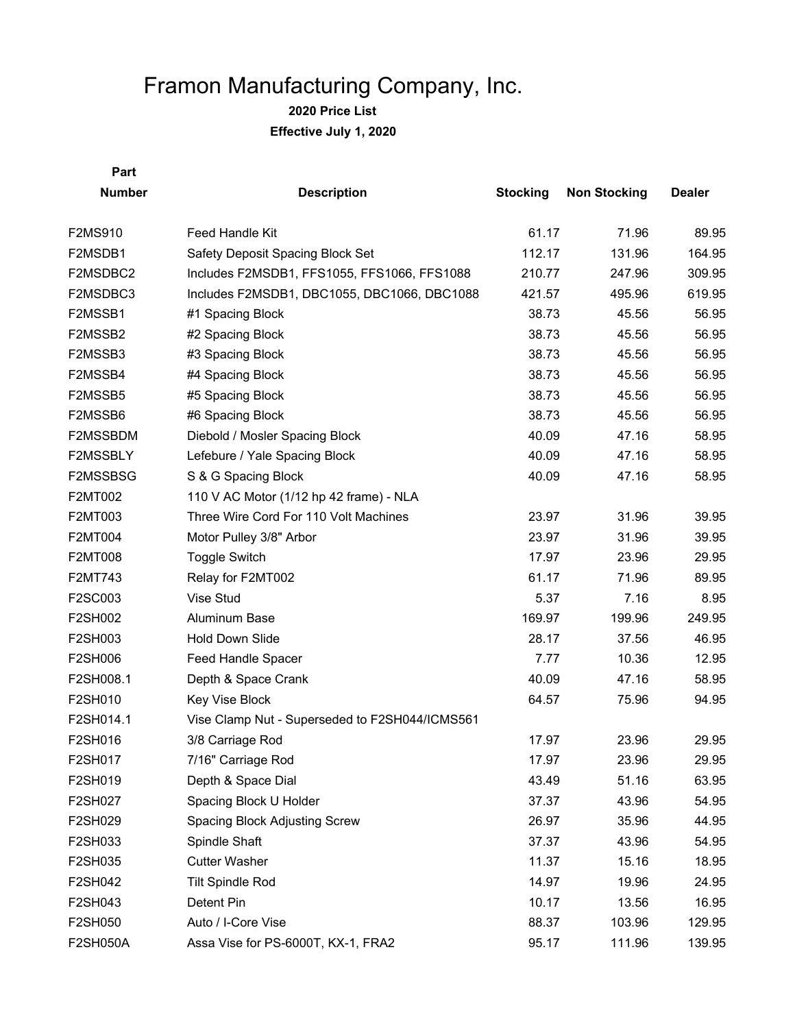**2020 Price List**

**Effective July 1, 2020**

| <b>Number</b>   | <b>Description</b>                             | <b>Stocking</b> | <b>Non Stocking</b> | <b>Dealer</b> |
|-----------------|------------------------------------------------|-----------------|---------------------|---------------|
| F2MS910         | Feed Handle Kit                                | 61.17           | 71.96               | 89.95         |
| F2MSDB1         | Safety Deposit Spacing Block Set               | 112.17          | 131.96              | 164.95        |
| F2MSDBC2        | Includes F2MSDB1, FFS1055, FFS1066, FFS1088    | 210.77          | 247.96              | 309.95        |
| F2MSDBC3        | Includes F2MSDB1, DBC1055, DBC1066, DBC1088    | 421.57          | 495.96              | 619.95        |
| F2MSSB1         | #1 Spacing Block                               | 38.73           | 45.56               | 56.95         |
| F2MSSB2         | #2 Spacing Block                               | 38.73           | 45.56               | 56.95         |
| F2MSSB3         | #3 Spacing Block                               | 38.73           | 45.56               | 56.95         |
| F2MSSB4         | #4 Spacing Block                               | 38.73           | 45.56               | 56.95         |
| F2MSSB5         | #5 Spacing Block                               | 38.73           | 45.56               | 56.95         |
| F2MSSB6         | #6 Spacing Block                               | 38.73           | 45.56               | 56.95         |
| F2MSSBDM        | Diebold / Mosler Spacing Block                 | 40.09           | 47.16               | 58.95         |
| F2MSSBLY        | Lefebure / Yale Spacing Block                  | 40.09           | 47.16               | 58.95         |
| F2MSSBSG        | S & G Spacing Block                            | 40.09           | 47.16               | 58.95         |
| F2MT002         | 110 V AC Motor (1/12 hp 42 frame) - NLA        |                 |                     |               |
| F2MT003         | Three Wire Cord For 110 Volt Machines          | 23.97           | 31.96               | 39.95         |
| F2MT004         | Motor Pulley 3/8" Arbor                        | 23.97           | 31.96               | 39.95         |
| <b>F2MT008</b>  | <b>Toggle Switch</b>                           | 17.97           | 23.96               | 29.95         |
| F2MT743         | Relay for F2MT002                              | 61.17           | 71.96               | 89.95         |
| F2SC003         | Vise Stud                                      | 5.37            | 7.16                | 8.95          |
| F2SH002         | Aluminum Base                                  | 169.97          | 199.96              | 249.95        |
| F2SH003         | <b>Hold Down Slide</b>                         | 28.17           | 37.56               | 46.95         |
| F2SH006         | Feed Handle Spacer                             | 7.77            | 10.36               | 12.95         |
| F2SH008.1       | Depth & Space Crank                            | 40.09           | 47.16               | 58.95         |
| F2SH010         | Key Vise Block                                 | 64.57           | 75.96               | 94.95         |
| F2SH014.1       | Vise Clamp Nut - Superseded to F2SH044/ICMS561 |                 |                     |               |
| F2SH016         | 3/8 Carriage Rod                               | 17.97           | 23.96               | 29.95         |
| F2SH017         | 7/16" Carriage Rod                             | 17.97           | 23.96               | 29.95         |
| F2SH019         | Depth & Space Dial                             | 43.49           | 51.16               | 63.95         |
| F2SH027         | Spacing Block U Holder                         | 37.37           | 43.96               | 54.95         |
| F2SH029         | Spacing Block Adjusting Screw                  | 26.97           | 35.96               | 44.95         |
| F2SH033         | Spindle Shaft                                  | 37.37           | 43.96               | 54.95         |
| F2SH035         | <b>Cutter Washer</b>                           | 11.37           | 15.16               | 18.95         |
| F2SH042         | <b>Tilt Spindle Rod</b>                        | 14.97           | 19.96               | 24.95         |
| F2SH043         | Detent Pin                                     | 10.17           | 13.56               | 16.95         |
| F2SH050         | Auto / I-Core Vise                             | 88.37           | 103.96              | 129.95        |
| <b>F2SH050A</b> | Assa Vise for PS-6000T, KX-1, FRA2             | 95.17           | 111.96              | 139.95        |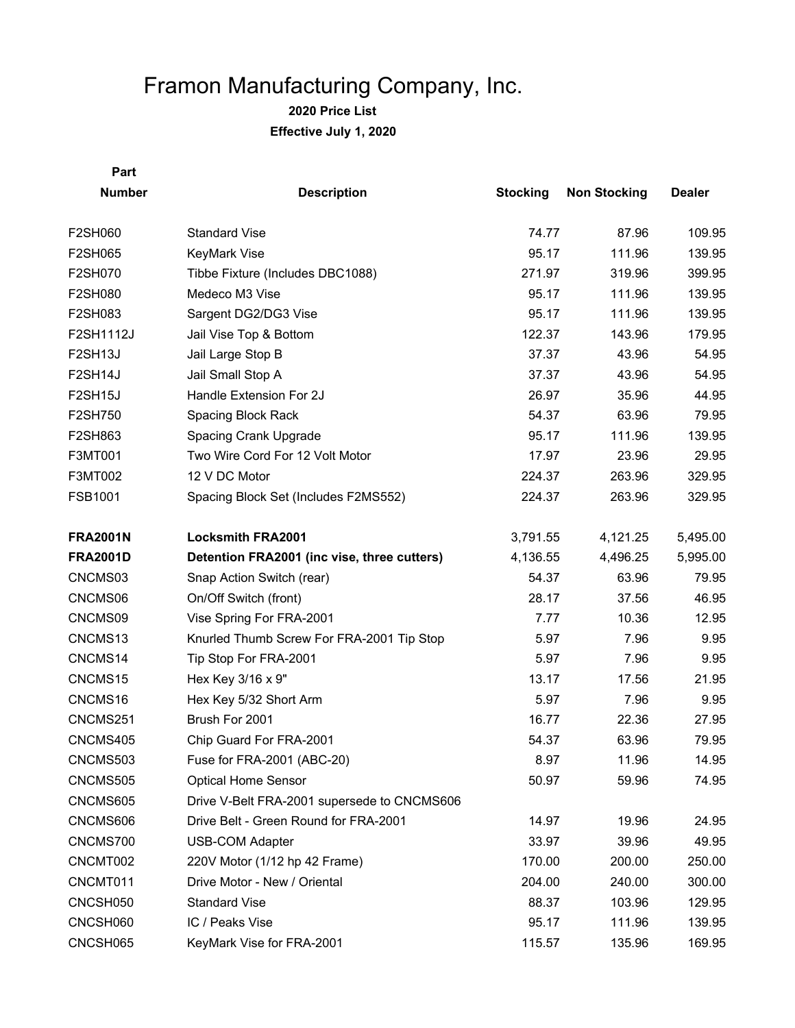**2020 Price List Effective July 1, 2020**

| <b>Number</b>   | <b>Description</b>                          | <b>Stocking</b> | <b>Non Stocking</b> | <b>Dealer</b> |
|-----------------|---------------------------------------------|-----------------|---------------------|---------------|
| F2SH060         | <b>Standard Vise</b>                        | 74.77           | 87.96               | 109.95        |
| F2SH065         | <b>KeyMark Vise</b>                         | 95.17           | 111.96              | 139.95        |
| F2SH070         | Tibbe Fixture (Includes DBC1088)            | 271.97          | 319.96              | 399.95        |
| F2SH080         | Medeco M3 Vise                              | 95.17           | 111.96              | 139.95        |
| F2SH083         | Sargent DG2/DG3 Vise                        | 95.17           | 111.96              | 139.95        |
| F2SH1112J       | Jail Vise Top & Bottom                      | 122.37          | 143.96              | 179.95        |
| <b>F2SH13J</b>  | Jail Large Stop B                           | 37.37           | 43.96               | 54.95         |
| F2SH14J         | Jail Small Stop A                           | 37.37           | 43.96               | 54.95         |
| F2SH15J         | Handle Extension For 2J                     | 26.97           | 35.96               | 44.95         |
| F2SH750         | Spacing Block Rack                          | 54.37           | 63.96               | 79.95         |
| F2SH863         | Spacing Crank Upgrade                       | 95.17           | 111.96              | 139.95        |
| F3MT001         | Two Wire Cord For 12 Volt Motor             | 17.97           | 23.96               | 29.95         |
| F3MT002         | 12 V DC Motor                               | 224.37          | 263.96              | 329.95        |
| FSB1001         | Spacing Block Set (Includes F2MS552)        | 224.37          | 263.96              | 329.95        |
| <b>FRA2001N</b> | <b>Locksmith FRA2001</b>                    | 3,791.55        | 4,121.25            | 5,495.00      |
| <b>FRA2001D</b> | Detention FRA2001 (inc vise, three cutters) | 4,136.55        | 4,496.25            | 5,995.00      |
| CNCMS03         | Snap Action Switch (rear)                   | 54.37           | 63.96               | 79.95         |
| CNCMS06         | On/Off Switch (front)                       | 28.17           | 37.56               | 46.95         |
| CNCMS09         | Vise Spring For FRA-2001                    | 7.77            | 10.36               | 12.95         |
| CNCMS13         | Knurled Thumb Screw For FRA-2001 Tip Stop   | 5.97            | 7.96                | 9.95          |
| CNCMS14         | Tip Stop For FRA-2001                       | 5.97            | 7.96                | 9.95          |
| CNCMS15         | Hex Key 3/16 x 9"                           | 13.17           | 17.56               | 21.95         |
| CNCMS16         | Hex Key 5/32 Short Arm                      | 5.97            | 7.96                | 9.95          |
| CNCMS251        | Brush For 2001                              | 16.77           | 22.36               | 27.95         |
| CNCMS405        | Chip Guard For FRA-2001                     | 54.37           | 63.96               | 79.95         |
| CNCMS503        | Fuse for FRA-2001 (ABC-20)                  | 8.97            | 11.96               | 14.95         |
| CNCMS505        | <b>Optical Home Sensor</b>                  | 50.97           | 59.96               | 74.95         |
| CNCMS605        | Drive V-Belt FRA-2001 supersede to CNCMS606 |                 |                     |               |
| CNCMS606        | Drive Belt - Green Round for FRA-2001       | 14.97           | 19.96               | 24.95         |
| CNCMS700        | <b>USB-COM Adapter</b>                      | 33.97           | 39.96               | 49.95         |
| CNCMT002        | 220V Motor (1/12 hp 42 Frame)               | 170.00          | 200.00              | 250.00        |
| CNCMT011        | Drive Motor - New / Oriental                | 204.00          | 240.00              | 300.00        |
| CNCSH050        | <b>Standard Vise</b>                        | 88.37           | 103.96              | 129.95        |
| CNCSH060        | IC / Peaks Vise                             | 95.17           | 111.96              | 139.95        |
| CNCSH065        | KeyMark Vise for FRA-2001                   | 115.57          | 135.96              | 169.95        |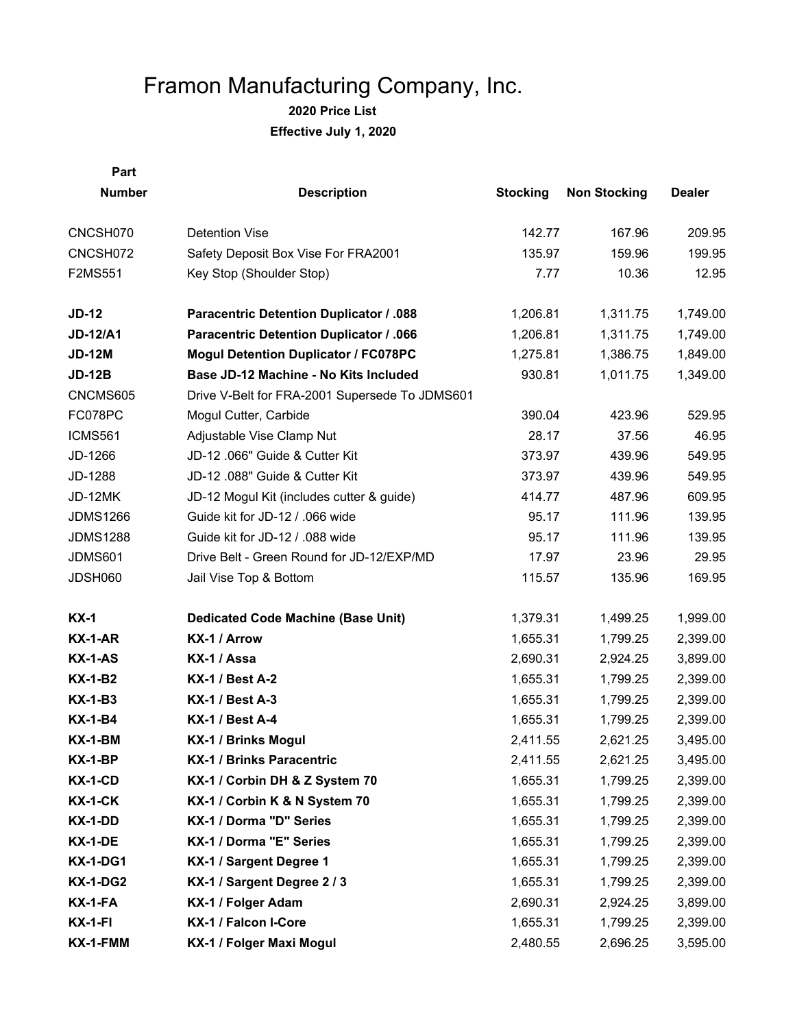| Part            |                                                |                 |                     |               |
|-----------------|------------------------------------------------|-----------------|---------------------|---------------|
| <b>Number</b>   | <b>Description</b>                             | <b>Stocking</b> | <b>Non Stocking</b> | <b>Dealer</b> |
| CNCSH070        | <b>Detention Vise</b>                          | 142.77          | 167.96              | 209.95        |
| CNCSH072        | Safety Deposit Box Vise For FRA2001            | 135.97          | 159.96              | 199.95        |
| F2MS551         | Key Stop (Shoulder Stop)                       | 7.77            | 10.36               | 12.95         |
| $JD-12$         | <b>Paracentric Detention Duplicator / .088</b> | 1,206.81        | 1,311.75            | 1,749.00      |
| <b>JD-12/A1</b> | <b>Paracentric Detention Duplicator / .066</b> | 1,206.81        | 1,311.75            | 1,749.00      |
| <b>JD-12M</b>   | <b>Mogul Detention Duplicator / FC078PC</b>    | 1,275.81        | 1,386.75            | 1,849.00      |
| <b>JD-12B</b>   | Base JD-12 Machine - No Kits Included          | 930.81          | 1,011.75            | 1,349.00      |
| CNCMS605        | Drive V-Belt for FRA-2001 Supersede To JDMS601 |                 |                     |               |
| FC078PC         | Mogul Cutter, Carbide                          | 390.04          | 423.96              | 529.95        |
| ICMS561         | Adjustable Vise Clamp Nut                      | 28.17           | 37.56               | 46.95         |
| JD-1266         | JD-12 .066" Guide & Cutter Kit                 | 373.97          | 439.96              | 549.95        |
| JD-1288         | JD-12 .088" Guide & Cutter Kit                 | 373.97          | 439.96              | 549.95        |
| JD-12MK         | JD-12 Mogul Kit (includes cutter & guide)      | 414.77          | 487.96              | 609.95        |
| <b>JDMS1266</b> | Guide kit for JD-12 / .066 wide                | 95.17           | 111.96              | 139.95        |
| <b>JDMS1288</b> | Guide kit for JD-12 / .088 wide                | 95.17           | 111.96              | 139.95        |
| <b>JDMS601</b>  | Drive Belt - Green Round for JD-12/EXP/MD      | 17.97           | 23.96               | 29.95         |
| JDSH060         | Jail Vise Top & Bottom                         | 115.57          | 135.96              | 169.95        |
| $KX-1$          | <b>Dedicated Code Machine (Base Unit)</b>      | 1,379.31        | 1,499.25            | 1,999.00      |
| <b>KX-1-AR</b>  | KX-1 / Arrow                                   | 1,655.31        | 1,799.25            | 2,399.00      |
| $KX-1-AS$       | KX-1 / Assa                                    | 2,690.31        | 2,924.25            | 3,899.00      |
| <b>KX-1-B2</b>  | <b>KX-1 / Best A-2</b>                         | 1,655.31        | 1,799.25            | 2,399.00      |
| <b>KX-1-B3</b>  | <b>KX-1 / Best A-3</b>                         | 1,655.31        | 1,799.25            | 2,399.00      |
| <b>KX-1-B4</b>  | <b>KX-1 / Best A-4</b>                         | 1,655.31        | 1,799.25            | 2,399.00      |
| KX-1-BM         | KX-1 / Brinks Mogul                            | 2,411.55        | 2,621.25            | 3,495.00      |
| <b>KX-1-BP</b>  | KX-1 / Brinks Paracentric                      | 2,411.55        | 2,621.25            | 3,495.00      |
| KX-1-CD         | KX-1 / Corbin DH & Z System 70                 | 1,655.31        | 1,799.25            | 2,399.00      |
| <b>KX-1-CK</b>  | KX-1 / Corbin K & N System 70                  | 1,655.31        | 1,799.25            | 2,399.00      |
| KX-1-DD         | KX-1 / Dorma "D" Series                        | 1,655.31        | 1,799.25            | 2,399.00      |
| KX-1-DE         | KX-1 / Dorma "E" Series                        | 1,655.31        | 1,799.25            | 2,399.00      |
| <b>KX-1-DG1</b> | KX-1 / Sargent Degree 1                        | 1,655.31        | 1,799.25            | 2,399.00      |
| <b>KX-1-DG2</b> | KX-1 / Sargent Degree 2 / 3                    | 1,655.31        | 1,799.25            | 2,399.00      |
| $KX-1-FA$       | KX-1 / Folger Adam                             | 2,690.31        | 2,924.25            | 3,899.00      |
| <b>KX-1-FI</b>  | KX-1 / Falcon I-Core                           | 1,655.31        | 1,799.25            | 2,399.00      |
| KX-1-FMM        | KX-1 / Folger Maxi Mogul                       | 2,480.55        | 2,696.25            | 3,595.00      |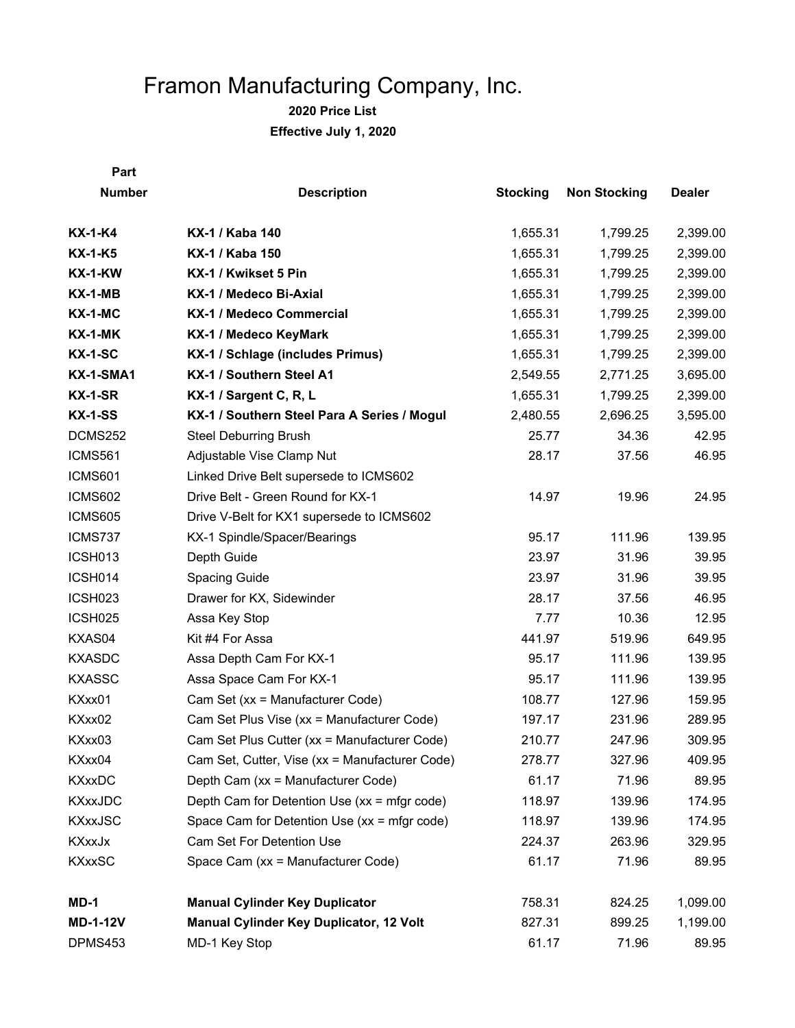**2020 Price List Effective July 1, 2020**

| <b>Number</b>       | <b>Description</b>                             | <b>Stocking</b> | <b>Non Stocking</b> | <b>Dealer</b> |
|---------------------|------------------------------------------------|-----------------|---------------------|---------------|
| $KX-1-K4$           | KX-1 / Kaba 140                                | 1,655.31        | 1,799.25            | 2,399.00      |
| $KX-1-K5$           | KX-1 / Kaba 150                                | 1,655.31        | 1,799.25            | 2,399.00      |
| <b>KX-1-KW</b>      | KX-1 / Kwikset 5 Pin                           | 1,655.31        | 1,799.25            | 2,399.00      |
| $KX-1-MB$           | KX-1 / Medeco Bi-Axial                         | 1,655.31        | 1,799.25            | 2,399.00      |
| <b>KX-1-MC</b>      | KX-1 / Medeco Commercial                       | 1,655.31        | 1,799.25            | 2,399.00      |
| $KX-1-MK$           | KX-1 / Medeco KeyMark                          | 1,655.31        | 1,799.25            | 2,399.00      |
| <b>KX-1-SC</b>      | KX-1 / Schlage (includes Primus)               | 1,655.31        | 1,799.25            | 2,399.00      |
| <b>KX-1-SMA1</b>    | KX-1 / Southern Steel A1                       | 2,549.55        | 2,771.25            | 3,695.00      |
| KX-1-SR             | KX-1 / Sargent C, R, L                         | 1,655.31        | 1,799.25            | 2,399.00      |
| <b>KX-1-SS</b>      | KX-1 / Southern Steel Para A Series / Mogul    | 2,480.55        | 2,696.25            | 3,595.00      |
| DCMS252             | <b>Steel Deburring Brush</b>                   | 25.77           | 34.36               | 42.95         |
| <b>ICMS561</b>      | Adjustable Vise Clamp Nut                      | 28.17           | 37.56               | 46.95         |
| <b>ICMS601</b>      | Linked Drive Belt supersede to ICMS602         |                 |                     |               |
| <b>ICMS602</b>      | Drive Belt - Green Round for KX-1              | 14.97           | 19.96               | 24.95         |
| <b>ICMS605</b>      | Drive V-Belt for KX1 supersede to ICMS602      |                 |                     |               |
| ICMS737             | KX-1 Spindle/Spacer/Bearings                   | 95.17           | 111.96              | 139.95        |
| ICSH013             | Depth Guide                                    | 23.97           | 31.96               | 39.95         |
| ICSH014             | Spacing Guide                                  | 23.97           | 31.96               | 39.95         |
| ICSH023             | Drawer for KX, Sidewinder                      | 28.17           | 37.56               | 46.95         |
| ICSH <sub>025</sub> | Assa Key Stop                                  | 7.77            | 10.36               | 12.95         |
| KXAS04              | Kit #4 For Assa                                | 441.97          | 519.96              | 649.95        |
| <b>KXASDC</b>       | Assa Depth Cam For KX-1                        | 95.17           | 111.96              | 139.95        |
| <b>KXASSC</b>       | Assa Space Cam For KX-1                        | 95.17           | 111.96              | 139.95        |
| KXxx01              | Cam Set (xx = Manufacturer Code)               | 108.77          | 127.96              | 159.95        |
| KXxx02              | Cam Set Plus Vise (xx = Manufacturer Code)     | 197.17          | 231.96              | 289.95        |
| KXxx03              | Cam Set Plus Cutter (xx = Manufacturer Code)   | 210.77          | 247.96              | 309.95        |
| KXxx04              | Cam Set, Cutter, Vise (xx = Manufacturer Code) | 278.77          | 327.96              | 409.95        |
| <b>KXxxDC</b>       | Depth Cam (xx = Manufacturer Code)             | 61.17           | 71.96               | 89.95         |
| <b>KXxxJDC</b>      | Depth Cam for Detention Use (xx = mfgr code)   | 118.97          | 139.96              | 174.95        |
| <b>KXxxJSC</b>      | Space Cam for Detention Use (xx = mfgr code)   | 118.97          | 139.96              | 174.95        |
| <b>KXxxJx</b>       | Cam Set For Detention Use                      | 224.37          | 263.96              | 329.95        |
| <b>KXxxSC</b>       | Space Cam (xx = Manufacturer Code)             | 61.17           | 71.96               | 89.95         |
| $MD-1$              | <b>Manual Cylinder Key Duplicator</b>          | 758.31          | 824.25              | 1,099.00      |
| <b>MD-1-12V</b>     | <b>Manual Cylinder Key Duplicator, 12 Volt</b> | 827.31          | 899.25              | 1,199.00      |
| DPMS453             | MD-1 Key Stop                                  | 61.17           | 71.96               | 89.95         |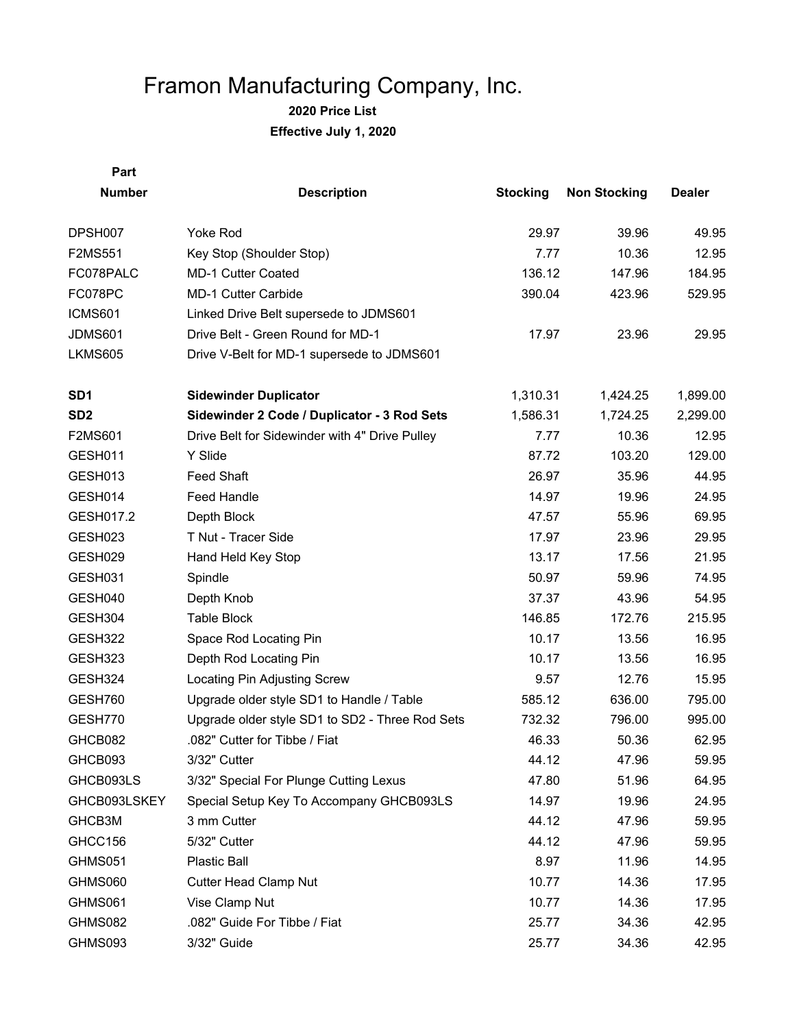| Part            |                                                 |                 |                     |               |
|-----------------|-------------------------------------------------|-----------------|---------------------|---------------|
| <b>Number</b>   | <b>Description</b>                              | <b>Stocking</b> | <b>Non Stocking</b> | <b>Dealer</b> |
| DPSH007         | <b>Yoke Rod</b>                                 | 29.97           | 39.96               | 49.95         |
| F2MS551         | Key Stop (Shoulder Stop)                        | 7.77            | 10.36               | 12.95         |
| FC078PALC       | MD-1 Cutter Coated                              | 136.12          | 147.96              | 184.95        |
| FC078PC         | <b>MD-1 Cutter Carbide</b>                      | 390.04          | 423.96              | 529.95        |
| <b>ICMS601</b>  | Linked Drive Belt supersede to JDMS601          |                 |                     |               |
| <b>JDMS601</b>  | Drive Belt - Green Round for MD-1               | 17.97           | 23.96               | 29.95         |
| <b>LKMS605</b>  | Drive V-Belt for MD-1 supersede to JDMS601      |                 |                     |               |
| SD <sub>1</sub> | <b>Sidewinder Duplicator</b>                    | 1,310.31        | 1,424.25            | 1,899.00      |
| SD <sub>2</sub> | Sidewinder 2 Code / Duplicator - 3 Rod Sets     | 1,586.31        | 1,724.25            | 2,299.00      |
| F2MS601         | Drive Belt for Sidewinder with 4" Drive Pulley  | 7.77            | 10.36               | 12.95         |
| GESH011         | Y Slide                                         | 87.72           | 103.20              | 129.00        |
| GESH013         | <b>Feed Shaft</b>                               | 26.97           | 35.96               | 44.95         |
| GESH014         | Feed Handle                                     | 14.97           | 19.96               | 24.95         |
| GESH017.2       | Depth Block                                     | 47.57           | 55.96               | 69.95         |
| GESH023         | T Nut - Tracer Side                             | 17.97           | 23.96               | 29.95         |
| GESH029         | Hand Held Key Stop                              | 13.17           | 17.56               | 21.95         |
| GESH031         | Spindle                                         | 50.97           | 59.96               | 74.95         |
| GESH040         | Depth Knob                                      | 37.37           | 43.96               | 54.95         |
| GESH304         | <b>Table Block</b>                              | 146.85          | 172.76              | 215.95        |
| GESH322         | Space Rod Locating Pin                          | 10.17           | 13.56               | 16.95         |
| GESH323         | Depth Rod Locating Pin                          | 10.17           | 13.56               | 16.95         |
| GESH324         | Locating Pin Adjusting Screw                    | 9.57            | 12.76               | 15.95         |
| GESH760         | Upgrade older style SD1 to Handle / Table       | 585.12          | 636.00              | 795.00        |
| GESH770         | Upgrade older style SD1 to SD2 - Three Rod Sets | 732.32          | 796.00              | 995.00        |
| GHCB082         | .082" Cutter for Tibbe / Fiat                   | 46.33           | 50.36               | 62.95         |
| GHCB093         | 3/32" Cutter                                    | 44.12           | 47.96               | 59.95         |
| GHCB093LS       | 3/32" Special For Plunge Cutting Lexus          | 47.80           | 51.96               | 64.95         |
| GHCB093LSKEY    | Special Setup Key To Accompany GHCB093LS        | 14.97           | 19.96               | 24.95         |
| GHCB3M          | 3 mm Cutter                                     | 44.12           | 47.96               | 59.95         |
| GHCC156         | 5/32" Cutter                                    | 44.12           | 47.96               | 59.95         |
| GHMS051         | Plastic Ball                                    | 8.97            | 11.96               | 14.95         |
| GHMS060         | <b>Cutter Head Clamp Nut</b>                    | 10.77           | 14.36               | 17.95         |
| GHMS061         | Vise Clamp Nut                                  | 10.77           | 14.36               | 17.95         |
| GHMS082         | .082" Guide For Tibbe / Fiat                    | 25.77           | 34.36               | 42.95         |
| GHMS093         | 3/32" Guide                                     | 25.77           | 34.36               | 42.95         |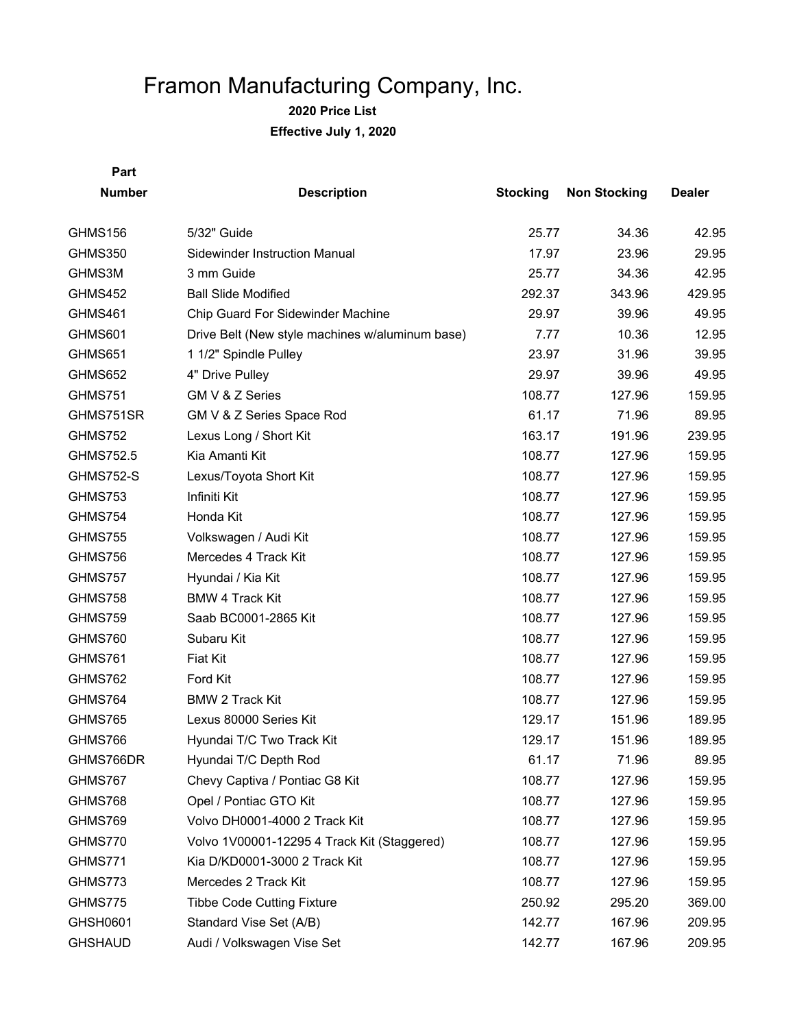**2020 Price List**

**Effective July 1, 2020**

| <b>Number</b>    | <b>Description</b>                              | <b>Stocking</b> | <b>Non Stocking</b> | <b>Dealer</b> |
|------------------|-------------------------------------------------|-----------------|---------------------|---------------|
| <b>GHMS156</b>   | 5/32" Guide                                     | 25.77           | 34.36               | 42.95         |
| <b>GHMS350</b>   | Sidewinder Instruction Manual                   | 17.97           | 23.96               | 29.95         |
| GHMS3M           | 3 mm Guide                                      | 25.77           | 34.36               | 42.95         |
| <b>GHMS452</b>   | <b>Ball Slide Modified</b>                      | 292.37          | 343.96              | 429.95        |
| GHMS461          | Chip Guard For Sidewinder Machine               | 29.97           | 39.96               | 49.95         |
| GHMS601          | Drive Belt (New style machines w/aluminum base) | 7.77            | 10.36               | 12.95         |
| GHMS651          | 1 1/2" Spindle Pulley                           | 23.97           | 31.96               | 39.95         |
| <b>GHMS652</b>   | 4" Drive Pulley                                 | 29.97           | 39.96               | 49.95         |
| GHMS751          | GM V & Z Series                                 | 108.77          | 127.96              | 159.95        |
| GHMS751SR        | GM V & Z Series Space Rod                       | 61.17           | 71.96               | 89.95         |
| <b>GHMS752</b>   | Lexus Long / Short Kit                          | 163.17          | 191.96              | 239.95        |
| GHMS752.5        | Kia Amanti Kit                                  | 108.77          | 127.96              | 159.95        |
| <b>GHMS752-S</b> | Lexus/Toyota Short Kit                          | 108.77          | 127.96              | 159.95        |
| GHMS753          | Infiniti Kit                                    | 108.77          | 127.96              | 159.95        |
| GHMS754          | Honda Kit                                       | 108.77          | 127.96              | 159.95        |
| <b>GHMS755</b>   | Volkswagen / Audi Kit                           | 108.77          | 127.96              | 159.95        |
| GHMS756          | Mercedes 4 Track Kit                            | 108.77          | 127.96              | 159.95        |
| GHMS757          | Hyundai / Kia Kit                               | 108.77          | 127.96              | 159.95        |
| <b>GHMS758</b>   | <b>BMW 4 Track Kit</b>                          | 108.77          | 127.96              | 159.95        |
| <b>GHMS759</b>   | Saab BC0001-2865 Kit                            | 108.77          | 127.96              | 159.95        |
| GHMS760          | Subaru Kit                                      | 108.77          | 127.96              | 159.95        |
| GHMS761          | <b>Fiat Kit</b>                                 | 108.77          | 127.96              | 159.95        |
| GHMS762          | Ford Kit                                        | 108.77          | 127.96              | 159.95        |
| GHMS764          | <b>BMW 2 Track Kit</b>                          | 108.77          | 127.96              | 159.95        |
| GHMS765          | Lexus 80000 Series Kit                          | 129.17          | 151.96              | 189.95        |
| GHMS766          | Hyundai T/C Two Track Kit                       | 129.17          | 151.96              | 189.95        |
| GHMS766DR        | Hyundai T/C Depth Rod                           | 61.17           | 71.96               | 89.95         |
| GHMS767          | Chevy Captiva / Pontiac G8 Kit                  | 108.77          | 127.96              | 159.95        |
| GHMS768          | Opel / Pontiac GTO Kit                          | 108.77          | 127.96              | 159.95        |
| GHMS769          | Volvo DH0001-4000 2 Track Kit                   | 108.77          | 127.96              | 159.95        |
| GHMS770          | Volvo 1V00001-12295 4 Track Kit (Staggered)     | 108.77          | 127.96              | 159.95        |
| GHMS771          | Kia D/KD0001-3000 2 Track Kit                   | 108.77          | 127.96              | 159.95        |
| GHMS773          | Mercedes 2 Track Kit                            | 108.77          | 127.96              | 159.95        |
| GHMS775          | <b>Tibbe Code Cutting Fixture</b>               | 250.92          | 295.20              | 369.00        |
| GHSH0601         | Standard Vise Set (A/B)                         | 142.77          | 167.96              | 209.95        |
| <b>GHSHAUD</b>   | Audi / Volkswagen Vise Set                      | 142.77          | 167.96              | 209.95        |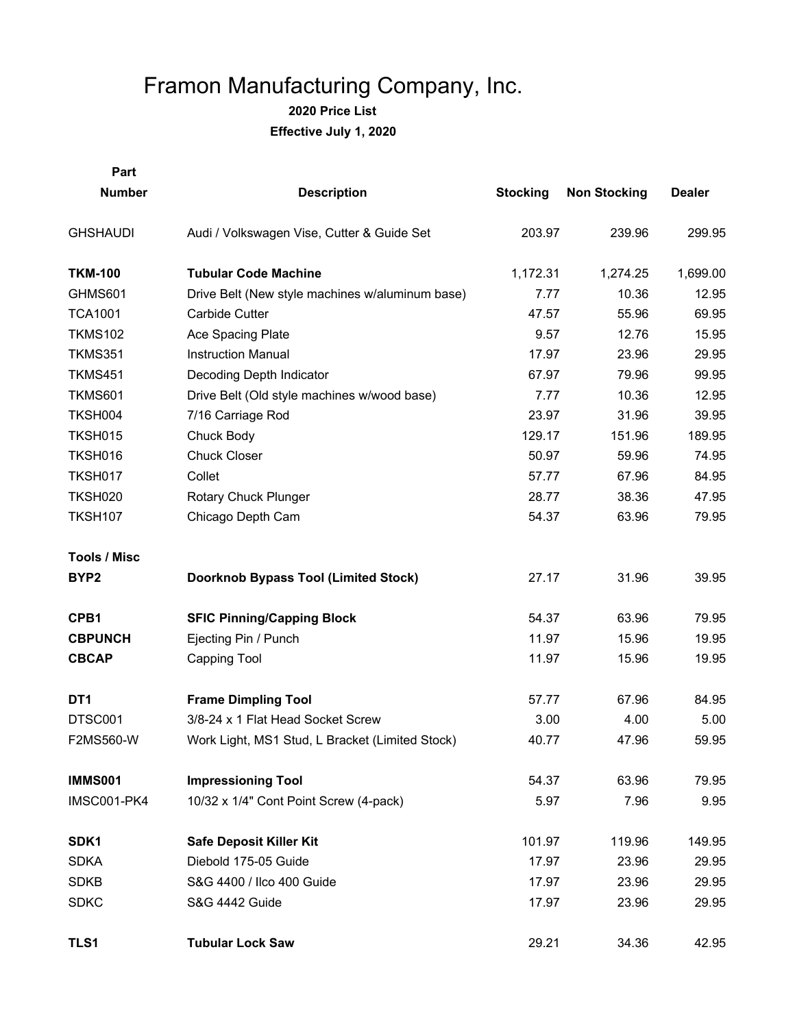**2020 Price List**

**Effective July 1, 2020**

| Part                |                                                 |                 |                     |               |
|---------------------|-------------------------------------------------|-----------------|---------------------|---------------|
| <b>Number</b>       | <b>Description</b>                              | <b>Stocking</b> | <b>Non Stocking</b> | <b>Dealer</b> |
| <b>GHSHAUDI</b>     | Audi / Volkswagen Vise, Cutter & Guide Set      | 203.97          | 239.96              | 299.95        |
| <b>TKM-100</b>      | <b>Tubular Code Machine</b>                     | 1,172.31        | 1,274.25            | 1,699.00      |
| GHMS601             | Drive Belt (New style machines w/aluminum base) | 7.77            | 10.36               | 12.95         |
| <b>TCA1001</b>      | Carbide Cutter                                  | 47.57           | 55.96               | 69.95         |
| <b>TKMS102</b>      | Ace Spacing Plate                               | 9.57            | 12.76               | 15.95         |
| <b>TKMS351</b>      | <b>Instruction Manual</b>                       | 17.97           | 23.96               | 29.95         |
| <b>TKMS451</b>      | Decoding Depth Indicator                        | 67.97           | 79.96               | 99.95         |
| <b>TKMS601</b>      | Drive Belt (Old style machines w/wood base)     | 7.77            | 10.36               | 12.95         |
| TKSH004             | 7/16 Carriage Rod                               | 23.97           | 31.96               | 39.95         |
| <b>TKSH015</b>      | Chuck Body                                      | 129.17          | 151.96              | 189.95        |
| TKSH016             | <b>Chuck Closer</b>                             | 50.97           | 59.96               | 74.95         |
| TKSH017             | Collet                                          | 57.77           | 67.96               | 84.95         |
| <b>TKSH020</b>      | Rotary Chuck Plunger                            | 28.77           | 38.36               | 47.95         |
| <b>TKSH107</b>      | Chicago Depth Cam                               | 54.37           | 63.96               | 79.95         |
| <b>Tools / Misc</b> |                                                 |                 |                     |               |
| BYP <sub>2</sub>    | <b>Doorknob Bypass Tool (Limited Stock)</b>     | 27.17           | 31.96               | 39.95         |
| CPB1                | <b>SFIC Pinning/Capping Block</b>               | 54.37           | 63.96               | 79.95         |
| <b>CBPUNCH</b>      | Ejecting Pin / Punch                            | 11.97           | 15.96               | 19.95         |
| <b>CBCAP</b>        | Capping Tool                                    | 11.97           | 15.96               | 19.95         |
| DT <sub>1</sub>     | <b>Frame Dimpling Tool</b>                      | 57.77           | 67.96               | 84.95         |
| DTSC001             | 3/8-24 x 1 Flat Head Socket Screw               | 3.00            | 4.00                | 5.00          |
| <b>F2MS560-W</b>    | Work Light, MS1 Stud, L Bracket (Limited Stock) | 40.77           | 47.96               | 59.95         |
| <b>IMMS001</b>      | <b>Impressioning Tool</b>                       | 54.37           | 63.96               | 79.95         |
| IMSC001-PK4         | 10/32 x 1/4" Cont Point Screw (4-pack)          | 5.97            | 7.96                | 9.95          |
| SDK1                | <b>Safe Deposit Killer Kit</b>                  | 101.97          | 119.96              | 149.95        |
| <b>SDKA</b>         | Diebold 175-05 Guide                            | 17.97           | 23.96               | 29.95         |
| <b>SDKB</b>         | S&G 4400 / Ilco 400 Guide                       | 17.97           | 23.96               | 29.95         |
| <b>SDKC</b>         | S&G 4442 Guide                                  | 17.97           | 23.96               | 29.95         |
| TLS1                | <b>Tubular Lock Saw</b>                         | 29.21           | 34.36               | 42.95         |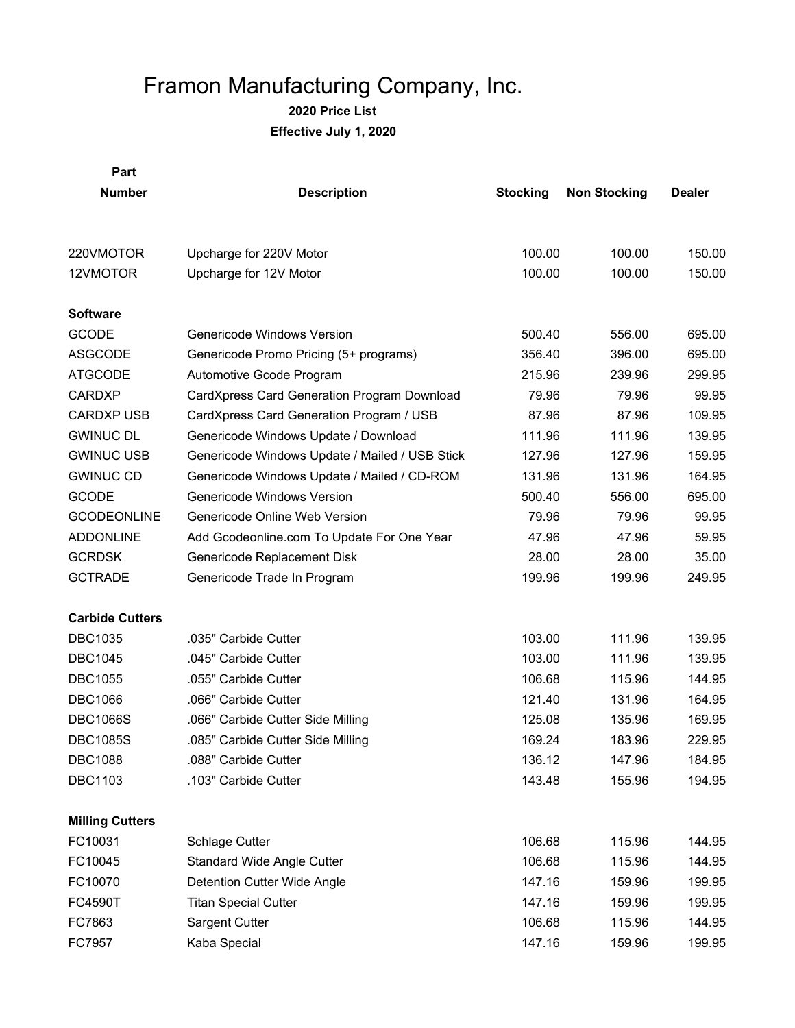**2020 Price List**

**Effective July 1, 2020**

| <b>Part</b>            |                                                |                 |                     |               |
|------------------------|------------------------------------------------|-----------------|---------------------|---------------|
| <b>Number</b>          | <b>Description</b>                             | <b>Stocking</b> | <b>Non Stocking</b> | <b>Dealer</b> |
|                        |                                                |                 |                     |               |
| 220VMOTOR              | Upcharge for 220V Motor                        | 100.00          | 100.00              | 150.00        |
| 12VMOTOR               | Upcharge for 12V Motor                         | 100.00          | 100.00              | 150.00        |
| <b>Software</b>        |                                                |                 |                     |               |
| <b>GCODE</b>           | Genericode Windows Version                     | 500.40          | 556.00              | 695.00        |
| <b>ASGCODE</b>         | Genericode Promo Pricing (5+ programs)         | 356.40          | 396.00              | 695.00        |
| <b>ATGCODE</b>         | Automotive Gcode Program                       | 215.96          | 239.96              | 299.95        |
| <b>CARDXP</b>          | CardXpress Card Generation Program Download    | 79.96           | 79.96               | 99.95         |
| <b>CARDXP USB</b>      | CardXpress Card Generation Program / USB       | 87.96           | 87.96               | 109.95        |
| <b>GWINUC DL</b>       | Genericode Windows Update / Download           | 111.96          | 111.96              | 139.95        |
| <b>GWINUC USB</b>      | Genericode Windows Update / Mailed / USB Stick | 127.96          | 127.96              | 159.95        |
| <b>GWINUC CD</b>       | Genericode Windows Update / Mailed / CD-ROM    | 131.96          | 131.96              | 164.95        |
| <b>GCODE</b>           | Genericode Windows Version                     | 500.40          | 556.00              | 695.00        |
| <b>GCODEONLINE</b>     | Genericode Online Web Version                  | 79.96           | 79.96               | 99.95         |
| <b>ADDONLINE</b>       | Add Gcodeonline.com To Update For One Year     | 47.96           | 47.96               | 59.95         |
| <b>GCRDSK</b>          | Genericode Replacement Disk                    | 28.00           | 28.00               | 35.00         |
| <b>GCTRADE</b>         | Genericode Trade In Program                    | 199.96          | 199.96              | 249.95        |
| <b>Carbide Cutters</b> |                                                |                 |                     |               |
| <b>DBC1035</b>         | .035" Carbide Cutter                           | 103.00          | 111.96              | 139.95        |
| <b>DBC1045</b>         | .045" Carbide Cutter                           | 103.00          | 111.96              | 139.95        |
| <b>DBC1055</b>         | .055" Carbide Cutter                           | 106.68          | 115.96              | 144.95        |
| <b>DBC1066</b>         | .066" Carbide Cutter                           | 121.40          | 131.96              | 164.95        |
| <b>DBC1066S</b>        | .066" Carbide Cutter Side Milling              | 125.08          | 135.96              | 169.95        |
| <b>DBC1085S</b>        | .085" Carbide Cutter Side Milling              | 169.24          | 183.96              | 229.95        |
| <b>DBC1088</b>         | .088" Carbide Cutter                           | 136.12          | 147.96              | 184.95        |
| <b>DBC1103</b>         | .103" Carbide Cutter                           | 143.48          | 155.96              | 194.95        |
| <b>Milling Cutters</b> |                                                |                 |                     |               |
| FC10031                | Schlage Cutter                                 | 106.68          | 115.96              | 144.95        |
| FC10045                | Standard Wide Angle Cutter                     | 106.68          | 115.96              | 144.95        |
| FC10070                | <b>Detention Cutter Wide Angle</b>             | 147.16          | 159.96              | 199.95        |
| <b>FC4590T</b>         | <b>Titan Special Cutter</b>                    | 147.16          | 159.96              | 199.95        |
| FC7863                 | <b>Sargent Cutter</b>                          | 106.68          | 115.96              | 144.95        |
| FC7957                 | Kaba Special                                   | 147.16          | 159.96              | 199.95        |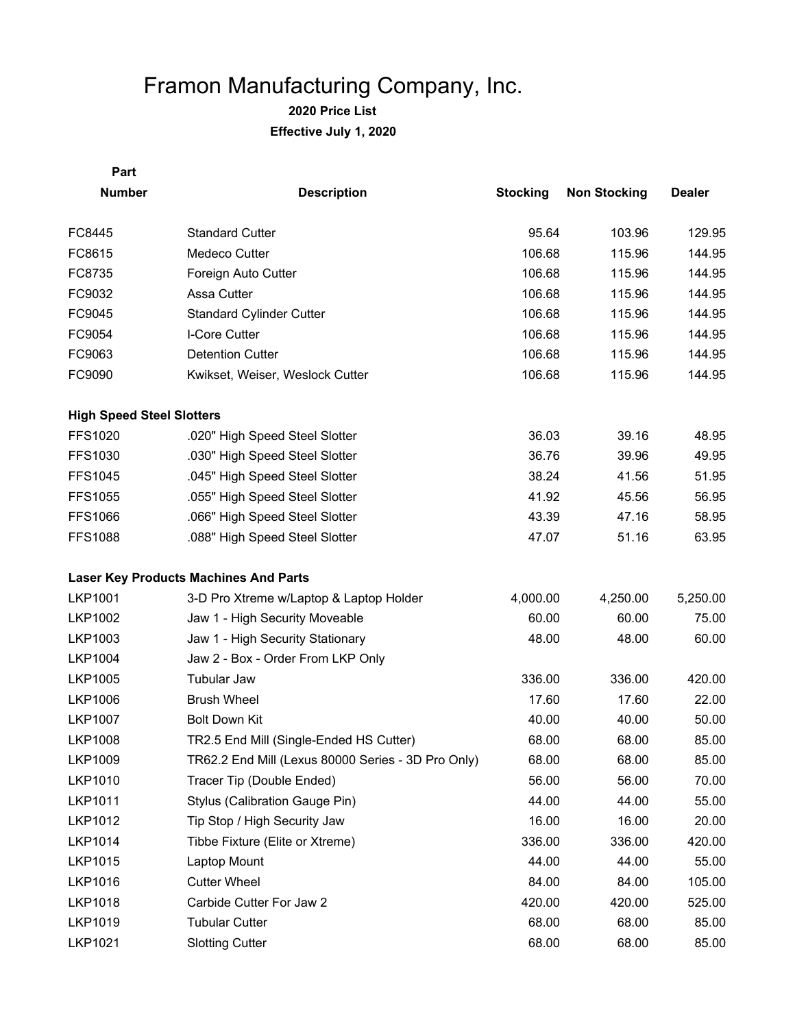| Part                             |                                                    |                 |                     |               |
|----------------------------------|----------------------------------------------------|-----------------|---------------------|---------------|
| <b>Number</b>                    | <b>Description</b>                                 | <b>Stocking</b> | <b>Non Stocking</b> | <b>Dealer</b> |
| FC8445                           | <b>Standard Cutter</b>                             | 95.64           | 103.96              | 129.95        |
| FC8615                           | Medeco Cutter                                      | 106.68          | 115.96              | 144.95        |
| FC8735                           | Foreign Auto Cutter                                | 106.68          | 115.96              | 144.95        |
| FC9032                           | Assa Cutter                                        | 106.68          | 115.96              | 144.95        |
| FC9045                           | <b>Standard Cylinder Cutter</b>                    | 106.68          | 115.96              | 144.95        |
| FC9054                           | I-Core Cutter                                      | 106.68          | 115.96              | 144.95        |
| FC9063                           | <b>Detention Cutter</b>                            | 106.68          | 115.96              | 144.95        |
| FC9090                           | Kwikset, Weiser, Weslock Cutter                    | 106.68          | 115.96              | 144.95        |
| <b>High Speed Steel Slotters</b> |                                                    |                 |                     |               |
| <b>FFS1020</b>                   | .020" High Speed Steel Slotter                     | 36.03           | 39.16               | 48.95         |
| FFS1030                          | .030" High Speed Steel Slotter                     | 36.76           | 39.96               | 49.95         |
| <b>FFS1045</b>                   | .045" High Speed Steel Slotter                     | 38.24           | 41.56               | 51.95         |
| <b>FFS1055</b>                   | .055" High Speed Steel Slotter                     | 41.92           | 45.56               | 56.95         |
| <b>FFS1066</b>                   | .066" High Speed Steel Slotter                     | 43.39           | 47.16               | 58.95         |
| <b>FFS1088</b>                   | .088" High Speed Steel Slotter                     | 47.07           | 51.16               | 63.95         |
|                                  | <b>Laser Key Products Machines And Parts</b>       |                 |                     |               |
| <b>LKP1001</b>                   | 3-D Pro Xtreme w/Laptop & Laptop Holder            | 4,000.00        | 4,250.00            | 5,250.00      |
| <b>LKP1002</b>                   | Jaw 1 - High Security Moveable                     | 60.00           | 60.00               | 75.00         |
| LKP1003                          | Jaw 1 - High Security Stationary                   | 48.00           | 48.00               | 60.00         |
| <b>LKP1004</b>                   | Jaw 2 - Box - Order From LKP Only                  |                 |                     |               |
| <b>LKP1005</b>                   | <b>Tubular Jaw</b>                                 | 336.00          | 336.00              | 420.00        |
| <b>LKP1006</b>                   | <b>Brush Wheel</b>                                 | 17.60           | 17.60               | 22.00         |
| <b>LKP1007</b>                   | <b>Bolt Down Kit</b>                               | 40.00           | 40.00               | 50.00         |
| <b>LKP1008</b>                   | TR2.5 End Mill (Single-Ended HS Cutter)            | 68.00           | 68.00               | 85.00         |
| <b>LKP1009</b>                   | TR62.2 End Mill (Lexus 80000 Series - 3D Pro Only) | 68.00           | 68.00               | 85.00         |
| <b>LKP1010</b>                   | Tracer Tip (Double Ended)                          | 56.00           | 56.00               | 70.00         |
| <b>LKP1011</b>                   | Stylus (Calibration Gauge Pin)                     | 44.00           | 44.00               | 55.00         |
| <b>LKP1012</b>                   | Tip Stop / High Security Jaw                       | 16.00           | 16.00               | 20.00         |
| <b>LKP1014</b>                   | Tibbe Fixture (Elite or Xtreme)                    | 336.00          | 336.00              | 420.00        |
| LKP1015                          | Laptop Mount                                       | 44.00           | 44.00               | 55.00         |
| <b>LKP1016</b>                   | <b>Cutter Wheel</b>                                | 84.00           | 84.00               | 105.00        |
| <b>LKP1018</b>                   | Carbide Cutter For Jaw 2                           | 420.00          | 420.00              | 525.00        |
| LKP1019                          | <b>Tubular Cutter</b>                              | 68.00           | 68.00               | 85.00         |
| LKP1021                          | <b>Slotting Cutter</b>                             | 68.00           | 68.00               | 85.00         |